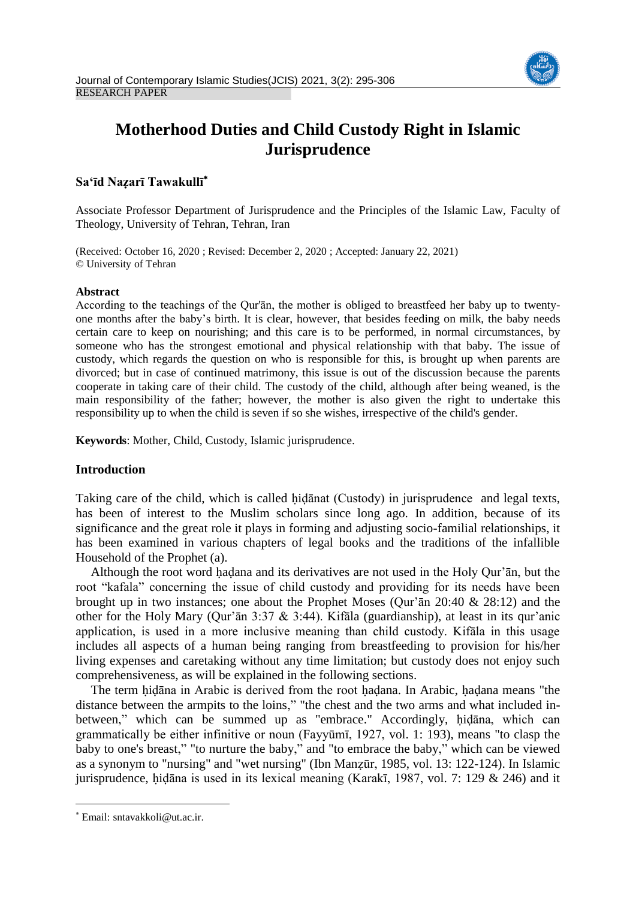

# **Motherhood Duties and Child Custody Right in Islamic Jurisprudence**

# **Sa'īd Naẓarī Tawakullī**

Associate Professor Department of Jurisprudence and the Principles of the Islamic Law, Faculty of Theology, University of Tehran, Tehran, Iran

(Received: October 16, 2020 ; Revised: December 2, 2020 ; Accepted: January 22, 2021) © University of Tehran

## **Abstract**

According to the teachings of the Qur'ān, the mother is obliged to breastfeed her baby up to twentyone months after the baby's birth. It is clear, however, that besides feeding on milk, the baby needs certain care to keep on nourishing; and this care is to be performed, in normal circumstances, by someone who has the strongest emotional and physical relationship with that baby. The issue of custody, which regards the question on who is responsible for this, is brought up when parents are divorced; but in case of continued matrimony, this issue is out of the discussion because the parents cooperate in taking care of their child. The custody of the child, although after being weaned, is the main responsibility of the father; however, the mother is also given the right to undertake this responsibility up to when the child is seven if so she wishes, irrespective of the child's gender.

**Keywords**: Mother, Child, Custody, Islamic jurisprudence.

## **Introduction**

Taking care of the child, which is called hidanat (Custody) in jurisprudence and legal texts, has been of interest to the Muslim scholars since long ago. In addition, because of its significance and the great role it plays in forming and adjusting socio-familial relationships, it has been examined in various chapters of legal books and the traditions of the infallible Household of the Prophet (a).

Although the root word ḥaḍana and its derivatives are not used in the Holy Qur'ān, but the root "kafala" concerning the issue of child custody and providing for its needs have been brought up in two instances; one about the Prophet Moses (Qur'ān 20:40 & 28:12) and the other for the Holy Mary (Qur'ān 3:37 & 3:44). Kifāla (guardianship), at least in its qur'anic application, is used in a more inclusive meaning than child custody. Kifāla in this usage includes all aspects of a human being ranging from breastfeeding to provision for his/her living expenses and caretaking without any time limitation; but custody does not enjoy such comprehensiveness, as will be explained in the following sections.

The term ḥiḍāna in Arabic is derived from the root ḥaḍana. In Arabic, ḥaḍana means "the distance between the armpits to the loins," "the chest and the two arms and what included inbetween," which can be summed up as "embrace." Accordingly, ḥiḍāna, which can grammatically be either infinitive or noun (Fayyūmī, 1927, vol. 1: 193), means "to clasp the baby to one's breast," "to nurture the baby," and "to embrace the baby," which can be viewed as a synonym to "nursing" and "wet nursing" (Ibn Manẓūr, 1985, vol. 13: 122-124). In Islamic jurisprudence, hidāna is used in its lexical meaning (Karakī, 1987, vol. 7: 129  $&$  246) and it

 $\overline{a}$ 

Email: sntavakkoli@ut.ac.ir.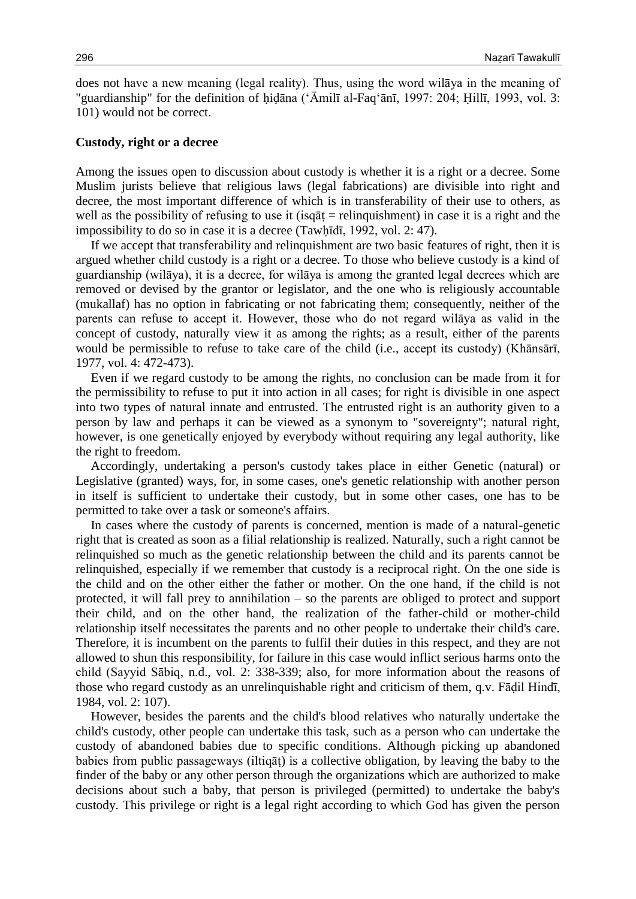does not have a new meaning (legal reality). Thus, using the word wilāya in the meaning of "guardianship" for the definition of ḥiḍāna ('Āmilī al-Faq'ānī, 1997: 204; Ḥillī, 1993, vol. 3: 101) would not be correct.

#### **Custody, right or a decree**

Among the issues open to discussion about custody is whether it is a right or a decree. Some Muslim jurists believe that religious laws (legal fabrications) are divisible into right and decree, the most important difference of which is in transferability of their use to others, as well as the possibility of refusing to use it (isq $\bar{a}$ t = relinquishment) in case it is a right and the impossibility to do so in case it is a decree (Tawḥīdī, 1992, vol. 2: 47).

If we accept that transferability and relinquishment are two basic features of right, then it is argued whether child custody is a right or a decree. To those who believe custody is a kind of guardianship (wilāya), it is a decree, for wilāya is among the granted legal decrees which are removed or devised by the grantor or legislator, and the one who is religiously accountable (mukallaf) has no option in fabricating or not fabricating them; consequently, neither of the parents can refuse to accept it. However, those who do not regard wilāya as valid in the concept of custody, naturally view it as among the rights; as a result, either of the parents would be permissible to refuse to take care of the child (i.e., accept its custody) (Khānsārī, 1977, vol. 4: 472-473).

Even if we regard custody to be among the rights, no conclusion can be made from it for the permissibility to refuse to put it into action in all cases; for right is divisible in one aspect into two types of natural innate and entrusted. The entrusted right is an authority given to a person by law and perhaps it can be viewed as a synonym to "sovereignty"; natural right, however, is one genetically enjoyed by everybody without requiring any legal authority, like the right to freedom.

Accordingly, undertaking a person's custody takes place in either Genetic (natural) or Legislative (granted) ways, for, in some cases, one's genetic relationship with another person in itself is sufficient to undertake their custody, but in some other cases, one has to be permitted to take over a task or someone's affairs.

In cases where the custody of parents is concerned, mention is made of a natural-genetic right that is created as soon as a filial relationship is realized. Naturally, such a right cannot be relinquished so much as the genetic relationship between the child and its parents cannot be relinquished, especially if we remember that custody is a reciprocal right. On the one side is the child and on the other either the father or mother. On the one hand, if the child is not protected, it will fall prey to annihilation – so the parents are obliged to protect and support their child, and on the other hand, the realization of the father-child or mother-child relationship itself necessitates the parents and no other people to undertake their child's care. Therefore, it is incumbent on the parents to fulfil their duties in this respect, and they are not allowed to shun this responsibility, for failure in this case would inflict serious harms onto the child (Sayyid Sābiq, n.d., vol. 2: 338-339; also, for more information about the reasons of those who regard custody as an unrelinquishable right and criticism of them, q.v. Fāḍil Hindī, 1984, vol. 2: 107).

However, besides the parents and the child's blood relatives who naturally undertake the child's custody, other people can undertake this task, such as a person who can undertake the custody of abandoned babies due to specific conditions. Although picking up abandoned babies from public passageways (iltiqāṭ) is a collective obligation, by leaving the baby to the finder of the baby or any other person through the organizations which are authorized to make decisions about such a baby, that person is privileged (permitted) to undertake the baby's custody. This privilege or right is a legal right according to which God has given the person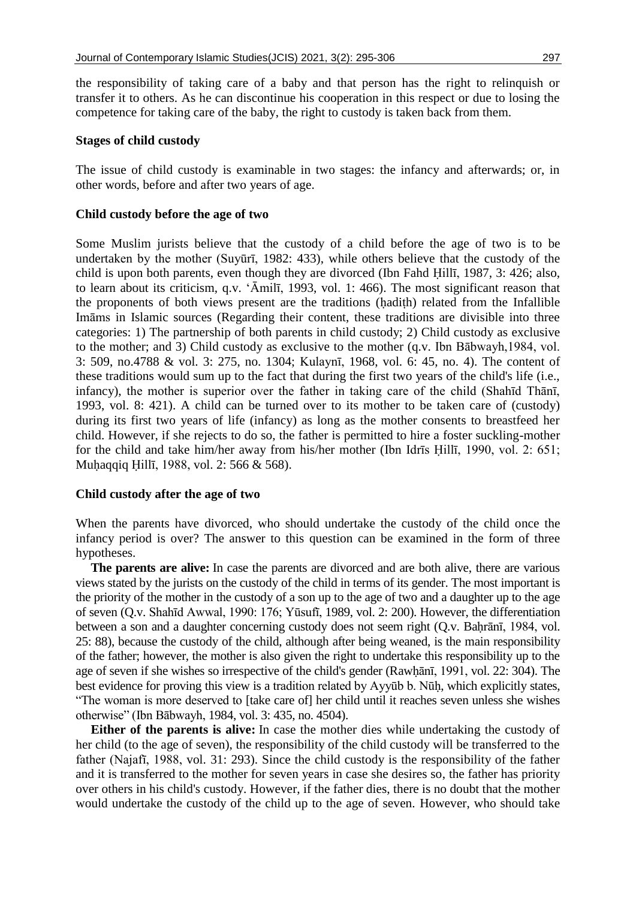the responsibility of taking care of a baby and that person has the right to relinquish or transfer it to others. As he can discontinue his cooperation in this respect or due to losing the competence for taking care of the baby, the right to custody is taken back from them.

## **Stages of child custody**

The issue of child custody is examinable in two stages: the infancy and afterwards; or, in other words, before and after two years of age.

#### **Child custody before the age of two**

Some Muslim jurists believe that the custody of a child before the age of two is to be undertaken by the mother (Suyūrī, 1982: 433), while others believe that the custody of the child is upon both parents, even though they are divorced (Ibn Fahd Ḥillī, 1987, 3: 426; also, to learn about its criticism, q.v. 'Āmilī, 1993, vol. 1: 466). The most significant reason that the proponents of both views present are the traditions (ḥadiṭh) related from the Infallible Imāms in Islamic sources (Regarding their content, these traditions are divisible into three categories: 1) The partnership of both parents in child custody; 2) Child custody as exclusive to the mother; and 3) Child custody as exclusive to the mother (q.v. Ibn Bābwayh,1984, vol. 3: 509, no.4788 & vol. 3: 275, no. 1304; Kulaynī, 1968, vol. 6: 45, no. 4). The content of these traditions would sum up to the fact that during the first two years of the child's life (i.e., infancy), the mother is superior over the father in taking care of the child (Shahīd Thānī, 1993, vol. 8: 421). A child can be turned over to its mother to be taken care of (custody) during its first two years of life (infancy) as long as the mother consents to breastfeed her child. However, if she rejects to do so, the father is permitted to hire a foster suckling-mother for the child and take him/her away from his/her mother (Ibn Idrīs Ḥillī, 1990, vol. 2: 651; Muḥaqqiq Ḥillī, 1988, vol. 2: 566 & 568).

#### **Child custody after the age of two**

When the parents have divorced, who should undertake the custody of the child once the infancy period is over? The answer to this question can be examined in the form of three hypotheses.

**The parents are alive:** In case the parents are divorced and are both alive, there are various views stated by the jurists on the custody of the child in terms of its gender. The most important is the priority of the mother in the custody of a son up to the age of two and a daughter up to the age of seven (Q.v. Shahīd Awwal, 1990: 176; Yūsufī, 1989, vol. 2: 200). However, the differentiation between a son and a daughter concerning custody does not seem right (Q.v. Baḥrānī, 1984, vol. 25: 88), because the custody of the child, although after being weaned, is the main responsibility of the father; however, the mother is also given the right to undertake this responsibility up to the age of seven if she wishes so irrespective of the child's gender (Rawḥānī, 1991, vol. 22: 304). The best evidence for proving this view is a tradition related by Ayyūb b. Nūḥ, which explicitly states, "The woman is more deserved to [take care of] her child until it reaches seven unless she wishes otherwise" (Ibn Bābwayh, 1984, vol. 3: 435, no. 4504).

**Either of the parents is alive:** In case the mother dies while undertaking the custody of her child (to the age of seven), the responsibility of the child custody will be transferred to the father (Najafī, 1988, vol. 31: 293). Since the child custody is the responsibility of the father and it is transferred to the mother for seven years in case she desires so, the father has priority over others in his child's custody. However, if the father dies, there is no doubt that the mother would undertake the custody of the child up to the age of seven. However, who should take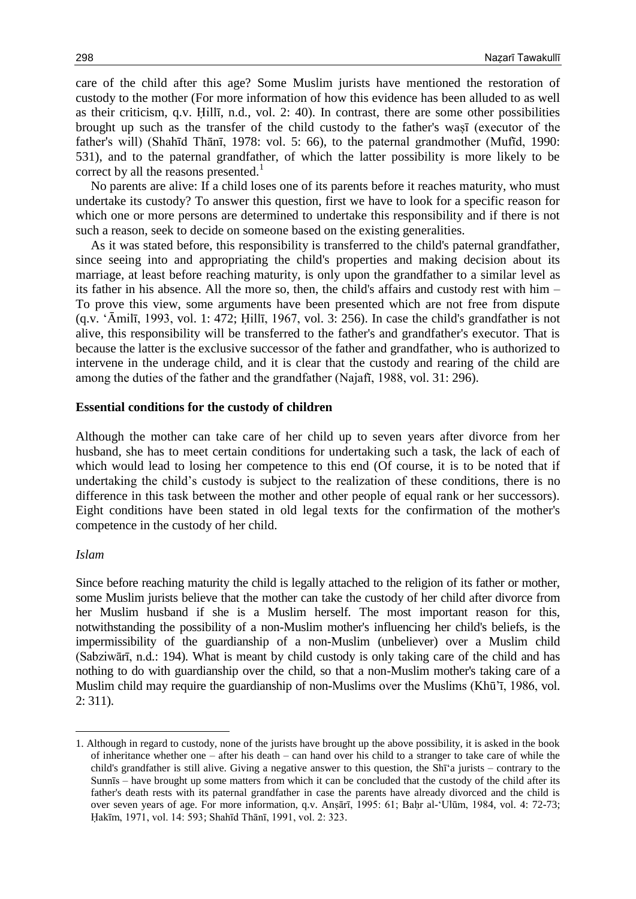care of the child after this age? Some Muslim jurists have mentioned the restoration of custody to the mother (For more information of how this evidence has been alluded to as well as their criticism, q.v. Ḥillī, n.d., vol. 2: 40). In contrast, there are some other possibilities brought up such as the transfer of the child custody to the father's waṣī (executor of the father's will) (Shahīd Thānī, 1978: vol. 5: 66), to the paternal grandmother (Mufīd, 1990: 531), and to the paternal grandfather, of which the latter possibility is more likely to be correct by all the reasons presented.<sup>1</sup>

No parents are alive: If a child loses one of its parents before it reaches maturity, who must undertake its custody? To answer this question, first we have to look for a specific reason for which one or more persons are determined to undertake this responsibility and if there is not such a reason, seek to decide on someone based on the existing generalities.

As it was stated before, this responsibility is transferred to the child's paternal grandfather, since seeing into and appropriating the child's properties and making decision about its marriage, at least before reaching maturity, is only upon the grandfather to a similar level as its father in his absence. All the more so, then, the child's affairs and custody rest with him – To prove this view, some arguments have been presented which are not free from dispute (q.v. 'Āmilī, 1993, vol. 1: 472; Ḥillī, 1967, vol. 3: 256). In case the child's grandfather is not alive, this responsibility will be transferred to the father's and grandfather's executor. That is because the latter is the exclusive successor of the father and grandfather, who is authorized to intervene in the underage child, and it is clear that the custody and rearing of the child are among the duties of the father and the grandfather (Najafī, 1988, vol. 31: 296).

#### **Essential conditions for the custody of children**

Although the mother can take care of her child up to seven years after divorce from her husband, she has to meet certain conditions for undertaking such a task, the lack of each of which would lead to losing her competence to this end (Of course, it is to be noted that if undertaking the child's custody is subject to the realization of these conditions, there is no difference in this task between the mother and other people of equal rank or her successors). Eight conditions have been stated in old legal texts for the confirmation of the mother's competence in the custody of her child.

## *Islam*

 $\overline{a}$ 

Since before reaching maturity the child is legally attached to the religion of its father or mother, some Muslim jurists believe that the mother can take the custody of her child after divorce from her Muslim husband if she is a Muslim herself. The most important reason for this, notwithstanding the possibility of a non-Muslim mother's influencing her child's beliefs, is the impermissibility of the guardianship of a non-Muslim (unbeliever) over a Muslim child (Sabziwārī, n.d.: 194). What is meant by child custody is only taking care of the child and has nothing to do with guardianship over the child, so that a non-Muslim mother's taking care of a Muslim child may require the guardianship of non-Muslims over the Muslims (Khū'ī, 1986, vol. 2: 311).

<sup>1.</sup> Although in regard to custody, none of the jurists have brought up the above possibility, it is asked in the book of inheritance whether one – after his death – can hand over his child to a stranger to take care of while the child's grandfather is still alive. Giving a negative answer to this question, the Shī'a jurists – contrary to the Sunnīs – have brought up some matters from which it can be concluded that the custody of the child after its father's death rests with its paternal grandfather in case the parents have already divorced and the child is over seven years of age. For more information, q.v. Anṣārī, 1995: 61; Baḥr al-'Ulūm, 1984, vol. 4: 72-73; Ḥakīm, 1971, vol. 14: 593; Shahīd Thānī, 1991, vol. 2: 323.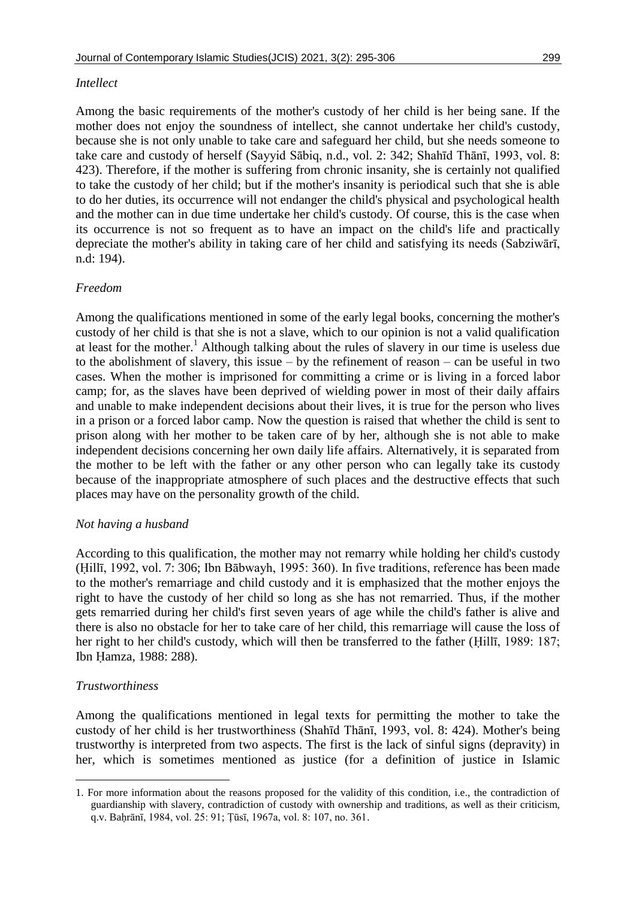## *Intellect*

Among the basic requirements of the mother's custody of her child is her being sane. If the mother does not enjoy the soundness of intellect, she cannot undertake her child's custody, because she is not only unable to take care and safeguard her child, but she needs someone to take care and custody of herself (Sayyid Sābiq, n.d., vol. 2: 342; Shahīd Thānī, 1993, vol. 8: 423). Therefore, if the mother is suffering from chronic insanity, she is certainly not qualified to take the custody of her child; but if the mother's insanity is periodical such that she is able to do her duties, its occurrence will not endanger the child's physical and psychological health and the mother can in due time undertake her child's custody. Of course, this is the case when its occurrence is not so frequent as to have an impact on the child's life and practically depreciate the mother's ability in taking care of her child and satisfying its needs (Sabziwārī, n.d: 194).

# *Freedom*

Among the qualifications mentioned in some of the early legal books, concerning the mother's custody of her child is that she is not a slave, which to our opinion is not a valid qualification at least for the mother.<sup>1</sup> Although talking about the rules of slavery in our time is useless due to the abolishment of slavery, this issue – by the refinement of reason – can be useful in two cases. When the mother is imprisoned for committing a crime or is living in a forced labor camp; for, as the slaves have been deprived of wielding power in most of their daily affairs and unable to make independent decisions about their lives, it is true for the person who lives in a prison or a forced labor camp. Now the question is raised that whether the child is sent to prison along with her mother to be taken care of by her, although she is not able to make independent decisions concerning her own daily life affairs. Alternatively, it is separated from the mother to be left with the father or any other person who can legally take its custody because of the inappropriate atmosphere of such places and the destructive effects that such places may have on the personality growth of the child.

## *Not having a husband*

According to this qualification, the mother may not remarry while holding her child's custody (Ḥillī, 1992, vol. 7: 306; Ibn Bābwayh, 1995: 360). In five traditions, reference has been made to the mother's remarriage and child custody and it is emphasized that the mother enjoys the right to have the custody of her child so long as she has not remarried. Thus, if the mother gets remarried during her child's first seven years of age while the child's father is alive and there is also no obstacle for her to take care of her child, this remarriage will cause the loss of her right to her child's custody, which will then be transferred to the father (Ḥillī, 1989: 187; Ibn Ḥamza, 1988: 288).

# *Trustworthiness*

 $\overline{a}$ 

Among the qualifications mentioned in legal texts for permitting the mother to take the custody of her child is her trustworthiness (Shahīd Thānī, 1993, vol. 8: 424). Mother's being trustworthy is interpreted from two aspects. The first is the lack of sinful signs (depravity) in her, which is sometimes mentioned as justice (for a definition of justice in Islamic

<sup>1.</sup> For more information about the reasons proposed for the validity of this condition, i.e., the contradiction of guardianship with slavery, contradiction of custody with ownership and traditions, as well as their criticism, q.v. Baḥrānī, 1984, vol. 25: 91; Ṭūsī, 1967a, vol. 8: 107, no. 361.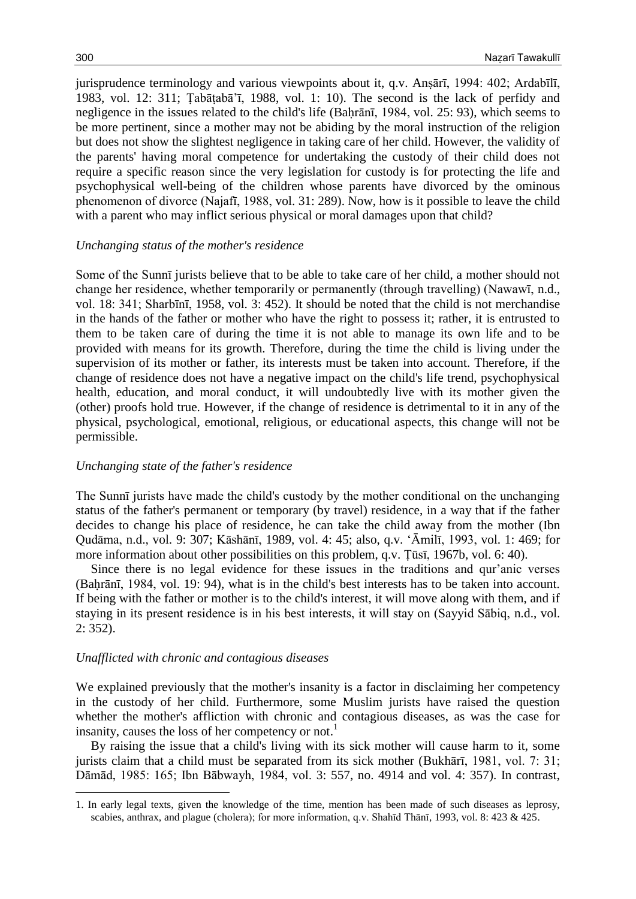jurisprudence terminology and various viewpoints about it, q.v. Anṣārī, 1994: 402; Ardabīlī, 1983, vol. 12: 311; Ṭabāṭabā'ī, 1988, vol. 1: 10). The second is the lack of perfidy and negligence in the issues related to the child's life (Bahrānī, 1984, vol. 25: 93), which seems to be more pertinent, since a mother may not be abiding by the moral instruction of the religion but does not show the slightest negligence in taking care of her child. However, the validity of the parents' having moral competence for undertaking the custody of their child does not require a specific reason since the very legislation for custody is for protecting the life and psychophysical well-being of the children whose parents have divorced by the ominous phenomenon of divorce (Najafī, 1988, vol. 31: 289). Now, how is it possible to leave the child with a parent who may inflict serious physical or moral damages upon that child?

## *Unchanging status of the mother's residence*

Some of the Sunnī jurists believe that to be able to take care of her child, a mother should not change her residence, whether temporarily or permanently (through travelling) (Nawawī, n.d., vol. 18: 341; Sharbīnī, 1958, vol. 3: 452). It should be noted that the child is not merchandise in the hands of the father or mother who have the right to possess it; rather, it is entrusted to them to be taken care of during the time it is not able to manage its own life and to be provided with means for its growth. Therefore, during the time the child is living under the supervision of its mother or father, its interests must be taken into account. Therefore, if the change of residence does not have a negative impact on the child's life trend, psychophysical health, education, and moral conduct, it will undoubtedly live with its mother given the (other) proofs hold true. However, if the change of residence is detrimental to it in any of the physical, psychological, emotional, religious, or educational aspects, this change will not be permissible.

## *Unchanging state of the father's residence*

The Sunnī jurists have made the child's custody by the mother conditional on the unchanging status of the father's permanent or temporary (by travel) residence, in a way that if the father decides to change his place of residence, he can take the child away from the mother (Ibn Qudāma, n.d., vol. 9: 307; Kāshānī, 1989, vol. 4: 45; also, q.v. 'Āmilī, 1993, vol. 1: 469; for more information about other possibilities on this problem, q.v. Ṭūsī, 1967b, vol. 6: 40).

Since there is no legal evidence for these issues in the traditions and qur'anic verses (Baḥrānī, 1984, vol. 19: 94), what is in the child's best interests has to be taken into account. If being with the father or mother is to the child's interest, it will move along with them, and if staying in its present residence is in his best interests, it will stay on (Sayyid Sābiq, n.d., vol. 2: 352).

## *Unafflicted with chronic and contagious diseases*

 $\overline{a}$ 

We explained previously that the mother's insanity is a factor in disclaiming her competency in the custody of her child. Furthermore, some Muslim jurists have raised the question whether the mother's affliction with chronic and contagious diseases, as was the case for insanity, causes the loss of her competency or not.<sup>1</sup>

By raising the issue that a child's living with its sick mother will cause harm to it, some jurists claim that a child must be separated from its sick mother (Bukhārī, 1981, vol. 7: 31; Dāmād, 1985: 165; Ibn Bābwayh, 1984, vol. 3: 557, no. 4914 and vol. 4: 357). In contrast,

<sup>1.</sup> In early legal texts, given the knowledge of the time, mention has been made of such diseases as leprosy, scabies, anthrax, and plague (cholera); for more information, q.v. Shahīd Thānī, 1993, vol. 8: 423 & 425.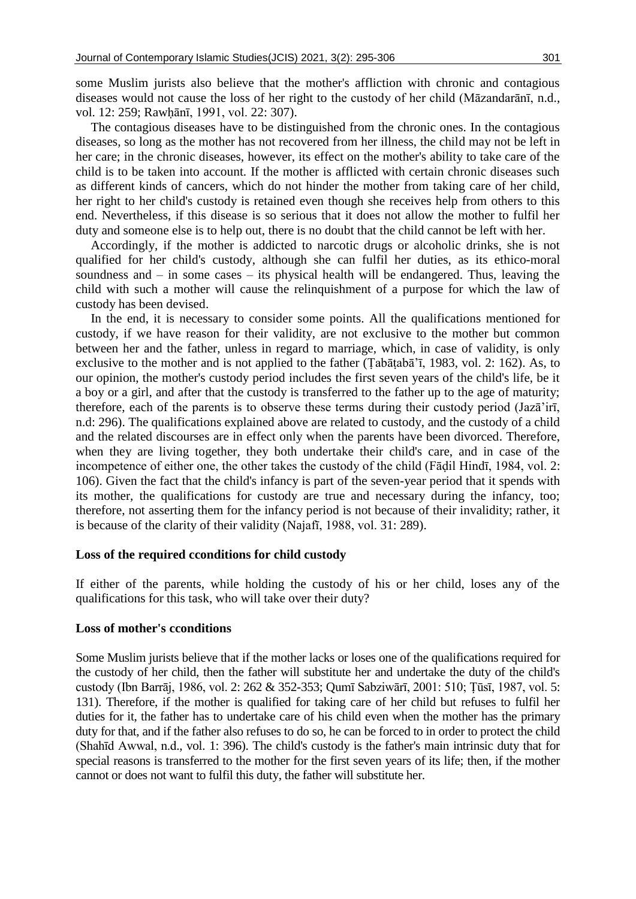some Muslim jurists also believe that the mother's affliction with chronic and contagious diseases would not cause the loss of her right to the custody of her child (Māzandarānī, n.d., vol. 12: 259; Rawḥānī, 1991, vol. 22: 307).

The contagious diseases have to be distinguished from the chronic ones. In the contagious diseases, so long as the mother has not recovered from her illness, the child may not be left in her care; in the chronic diseases, however, its effect on the mother's ability to take care of the child is to be taken into account. If the mother is afflicted with certain chronic diseases such as different kinds of cancers, which do not hinder the mother from taking care of her child, her right to her child's custody is retained even though she receives help from others to this end. Nevertheless, if this disease is so serious that it does not allow the mother to fulfil her duty and someone else is to help out, there is no doubt that the child cannot be left with her.

Accordingly, if the mother is addicted to narcotic drugs or alcoholic drinks, she is not qualified for her child's custody, although she can fulfil her duties, as its ethico-moral soundness and – in some cases – its physical health will be endangered. Thus, leaving the child with such a mother will cause the relinquishment of a purpose for which the law of custody has been devised.

In the end, it is necessary to consider some points. All the qualifications mentioned for custody, if we have reason for their validity, are not exclusive to the mother but common between her and the father, unless in regard to marriage, which, in case of validity, is only exclusive to the mother and is not applied to the father (Ṭabāṭabā'ī, 1983, vol. 2: 162). As, to our opinion, the mother's custody period includes the first seven years of the child's life, be it a boy or a girl, and after that the custody is transferred to the father up to the age of maturity; therefore, each of the parents is to observe these terms during their custody period (Jazā'irī, n.d: 296). The qualifications explained above are related to custody, and the custody of a child and the related discourses are in effect only when the parents have been divorced. Therefore, when they are living together, they both undertake their child's care, and in case of the incompetence of either one, the other takes the custody of the child (Fāḍil Hindī, 1984, vol. 2: 106). Given the fact that the child's infancy is part of the seven-year period that it spends with its mother, the qualifications for custody are true and necessary during the infancy, too; therefore, not asserting them for the infancy period is not because of their invalidity; rather, it is because of the clarity of their validity (Najafī, 1988, vol. 31: 289).

## **Loss of the required cconditions for child custody**

If either of the parents, while holding the custody of his or her child, loses any of the qualifications for this task, who will take over their duty?

#### **Loss of mother's cconditions**

Some Muslim jurists believe that if the mother lacks or loses one of the qualifications required for the custody of her child, then the father will substitute her and undertake the duty of the child's custody (Ibn Barrāj, 1986, vol. 2: 262 & 352-353; Qumī Sabziwārī, 2001: 510; Ṭūsī, 1987, vol. 5: 131). Therefore, if the mother is qualified for taking care of her child but refuses to fulfil her duties for it, the father has to undertake care of his child even when the mother has the primary duty for that, and if the father also refuses to do so, he can be forced to in order to protect the child (Shahīd Awwal, n.d., vol. 1: 396). The child's custody is the father's main intrinsic duty that for special reasons is transferred to the mother for the first seven years of its life; then, if the mother cannot or does not want to fulfil this duty, the father will substitute her.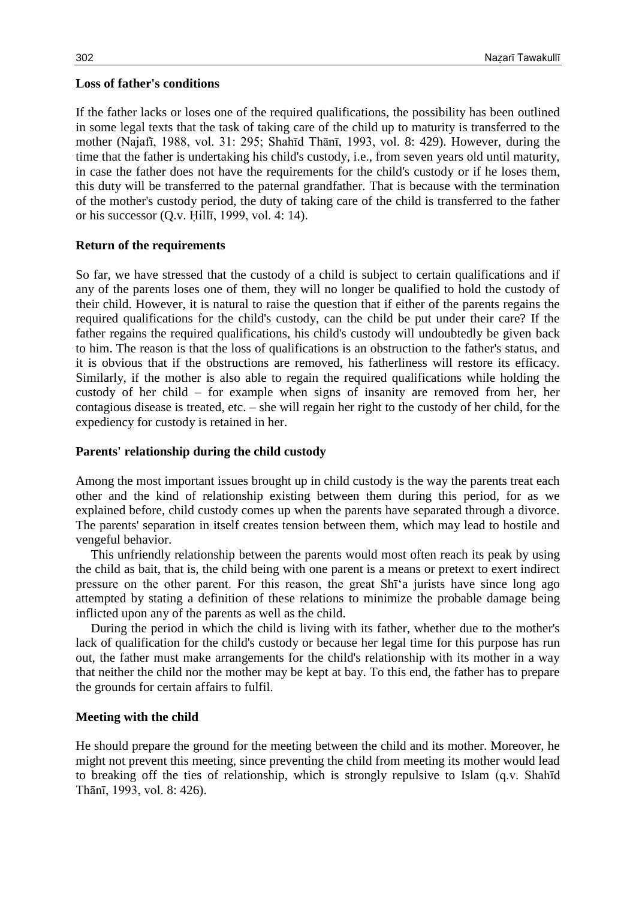## **Loss of father's conditions**

If the father lacks or loses one of the required qualifications, the possibility has been outlined in some legal texts that the task of taking care of the child up to maturity is transferred to the mother (Najafī, 1988, vol. 31: 295; Shahīd Thānī, 1993, vol. 8: 429). However, during the time that the father is undertaking his child's custody, i.e., from seven years old until maturity, in case the father does not have the requirements for the child's custody or if he loses them, this duty will be transferred to the paternal grandfather. That is because with the termination of the mother's custody period, the duty of taking care of the child is transferred to the father or his successor (Q.v. Ḥillī, 1999, vol. 4: 14).

## **Return of the requirements**

So far, we have stressed that the custody of a child is subject to certain qualifications and if any of the parents loses one of them, they will no longer be qualified to hold the custody of their child. However, it is natural to raise the question that if either of the parents regains the required qualifications for the child's custody, can the child be put under their care? If the father regains the required qualifications, his child's custody will undoubtedly be given back to him. The reason is that the loss of qualifications is an obstruction to the father's status, and it is obvious that if the obstructions are removed, his fatherliness will restore its efficacy. Similarly, if the mother is also able to regain the required qualifications while holding the custody of her child – for example when signs of insanity are removed from her, her contagious disease is treated, etc. – she will regain her right to the custody of her child, for the expediency for custody is retained in her.

## **Parents' relationship during the child custody**

Among the most important issues brought up in child custody is the way the parents treat each other and the kind of relationship existing between them during this period, for as we explained before, child custody comes up when the parents have separated through a divorce. The parents' separation in itself creates tension between them, which may lead to hostile and vengeful behavior.

This unfriendly relationship between the parents would most often reach its peak by using the child as bait, that is, the child being with one parent is a means or pretext to exert indirect pressure on the other parent. For this reason, the great Shī'a jurists have since long ago attempted by stating a definition of these relations to minimize the probable damage being inflicted upon any of the parents as well as the child.

During the period in which the child is living with its father, whether due to the mother's lack of qualification for the child's custody or because her legal time for this purpose has run out, the father must make arrangements for the child's relationship with its mother in a way that neither the child nor the mother may be kept at bay. To this end, the father has to prepare the grounds for certain affairs to fulfil.

## **Meeting with the child**

He should prepare the ground for the meeting between the child and its mother. Moreover, he might not prevent this meeting, since preventing the child from meeting its mother would lead to breaking off the ties of relationship, which is strongly repulsive to Islam (q.v. Shahīd Thānī, 1993, vol. 8: 426).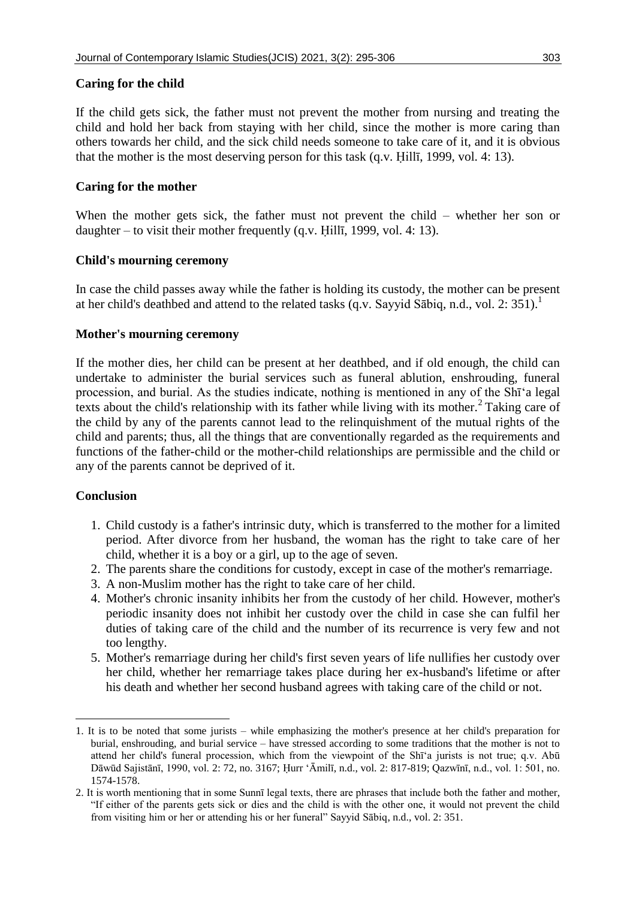## **Caring for the child**

If the child gets sick, the father must not prevent the mother from nursing and treating the child and hold her back from staying with her child, since the mother is more caring than others towards her child, and the sick child needs someone to take care of it, and it is obvious that the mother is the most deserving person for this task (q.v. Ḥillī, 1999, vol. 4: 13).

# **Caring for the mother**

When the mother gets sick, the father must not prevent the child – whether her son or daughter – to visit their mother frequently (q.v. Ḥillī, 1999, vol. 4: 13).

# **Child's mourning ceremony**

In case the child passes away while the father is holding its custody, the mother can be present at her child's deathbed and attend to the related tasks (q.v. Sayyid Sābiq, n.d., vol. 2: 351).<sup>1</sup>

## **Mother's mourning ceremony**

If the mother dies, her child can be present at her deathbed, and if old enough, the child can undertake to administer the burial services such as funeral ablution, enshrouding, funeral procession, and burial. As the studies indicate, nothing is mentioned in any of the Shī'a legal texts about the child's relationship with its father while living with its mother.<sup>2</sup> Taking care of the child by any of the parents cannot lead to the relinquishment of the mutual rights of the child and parents; thus, all the things that are conventionally regarded as the requirements and functions of the father-child or the mother-child relationships are permissible and the child or any of the parents cannot be deprived of it.

## **Conclusion**

 $\overline{a}$ 

- 1. Child custody is a father's intrinsic duty, which is transferred to the mother for a limited period. After divorce from her husband, the woman has the right to take care of her child, whether it is a boy or a girl, up to the age of seven.
- 2. The parents share the conditions for custody, except in case of the mother's remarriage.
- 3. A non-Muslim mother has the right to take care of her child.
- 4. Mother's chronic insanity inhibits her from the custody of her child. However, mother's periodic insanity does not inhibit her custody over the child in case she can fulfil her duties of taking care of the child and the number of its recurrence is very few and not too lengthy.
- 5. Mother's remarriage during her child's first seven years of life nullifies her custody over her child, whether her remarriage takes place during her ex-husband's lifetime or after his death and whether her second husband agrees with taking care of the child or not.

<sup>1.</sup> It is to be noted that some jurists – while emphasizing the mother's presence at her child's preparation for burial, enshrouding, and burial service – have stressed according to some traditions that the mother is not to attend her child's funeral procession, which from the viewpoint of the Shī'a jurists is not true; q.v. Abū Dāwūd Sajistānī, 1990, vol. 2: 72, no. 3167; Ḥurr 'Āmilī, n.d., vol. 2: 817-819; Qazwīnī, n.d., vol. 1: 501, no. 1574-1578.

<sup>2.</sup> It is worth mentioning that in some Sunnī legal texts, there are phrases that include both the father and mother, "If either of the parents gets sick or dies and the child is with the other one, it would not prevent the child from visiting him or her or attending his or her funeral" Sayyid Sābiq, n.d., vol. 2: 351.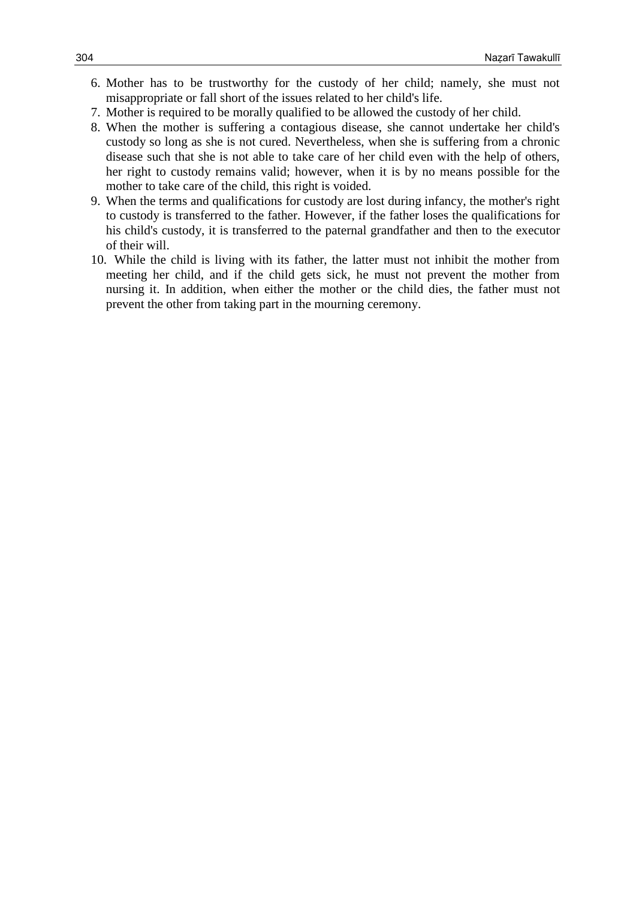- 6. Mother has to be trustworthy for the custody of her child; namely, she must not misappropriate or fall short of the issues related to her child's life.
- 7. Mother is required to be morally qualified to be allowed the custody of her child.
- 8. When the mother is suffering a contagious disease, she cannot undertake her child's custody so long as she is not cured. Nevertheless, when she is suffering from a chronic disease such that she is not able to take care of her child even with the help of others, her right to custody remains valid; however, when it is by no means possible for the mother to take care of the child, this right is voided.
- 9. When the terms and qualifications for custody are lost during infancy, the mother's right to custody is transferred to the father. However, if the father loses the qualifications for his child's custody, it is transferred to the paternal grandfather and then to the executor of their will.
- 10. While the child is living with its father, the latter must not inhibit the mother from meeting her child, and if the child gets sick, he must not prevent the mother from nursing it. In addition, when either the mother or the child dies, the father must not prevent the other from taking part in the mourning ceremony.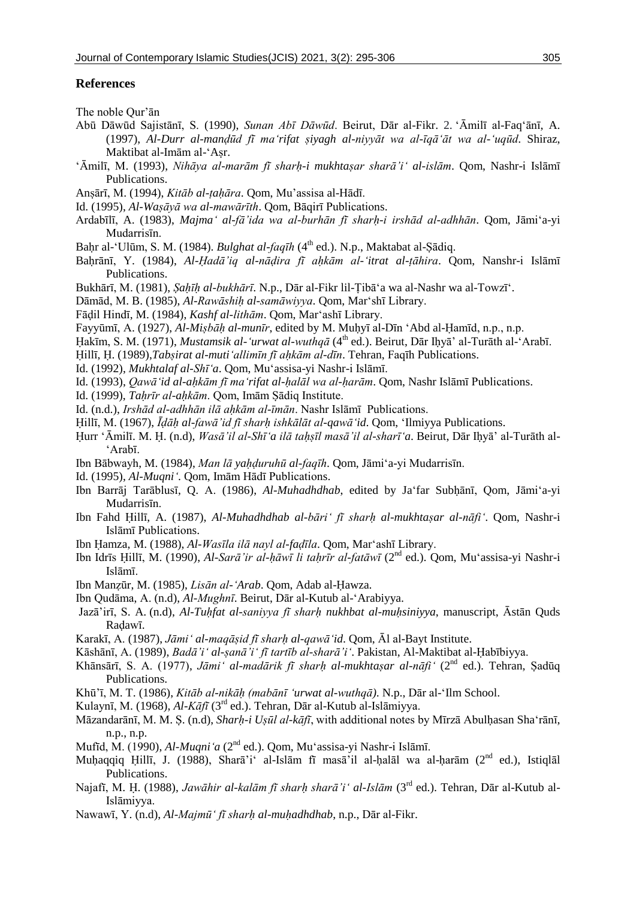#### **References**

The noble Qur'ān

- Abū Dāwūd Sajistānī, S. (1990), *Sunan Abī Dāwūd*. Beirut, Dār al-Fikr. 2. 'Āmilī al-Faq'ānī, A. (1997), *Al-Durr al-manḍūd fī ma'rifat ṣiyagh al-niyyāt wa al-īqā'āt wa al-'uqūd*. Shiraz, Maktibat al-Imām al-'Asr.
- 'Āmilī, M. (1993), *Nihāya al-marām fī sharḥ-i mukhtaṣar sharā'i' al-islām*. Qom, Nashr-i Islāmī Publications.
- Anṣārī, M. (1994), *Kitāb al-ṭaḥāra*. Qom, Mu'assisa al-Hādī.
- Id. (1995), *Al-Waṣāyā wa al-mawārīth*. Qom, Bāqirī Publications.
- Ardabīlī, A. (1983), *Majma' al-fā'ida wa al-burhān fī sharḥ-i irshād al-adhhān*. Qom, Jāmi'a-yi Mudarrisīn.
- Baḥr al-'Ulūm, S. M. (1984). *Bulghat al-faqīh* (4 th ed.). N.p., Maktabat al-Ṣādiq.
- Baḥrānī, Y. (1984), *Al-Ḥadā'iq al-nāḍira fī aḥkām al-'itrat al-ṭāhira*. Qom, Nanshr-i Islāmī Publications.
- Bukhārī, M. (1981), *Ṣaḥīḥ al-bukhārī*. N.p., Dār al-Fikr lil-Ṭibā'a wa al-Nashr wa al-Towzī'.
- Dāmād, M. B. (1985), *Al-Rawāshiḥ al-samāwiyya*. Qom, Mar'shī Library.
- Fāḍil Hindī, M. (1984), *Kashf al-lithām*. Qom, Mar'ashī Library.
- Fayyūmī, A. (1927), *Al-Miṣbāḥ al-munīr*, edited by M. Muḥyī al-Dīn 'Abd al-Ḥamīd, n.p., n.p.
- Ḥakīm, S. M. (1971), *Mustamsik al-'urwat al-wuthqā* (4 th ed.). Beirut, Dār Iḥyā' al-Turāth al-'Arabī.
- Ḥillī, Ḥ. (1989),*Tabṣirat al-muti'allimīn fī aḥkām al-dīn*. Tehran, Faqīh Publications.
- Id. (1992), *Mukhtalaf al-Shī'a*. Qom, Mu'assisa-yi Nashr-i Islāmī.
- Id. (1993), *Qawā'id al-aḥkām fī ma'rifat al-ḥalāl wa al-ḥarām*. Qom, Nashr Islāmī Publications.
- Id. (1999), *Taḥrīr al-aḥkām*. Qom, Imām Ṣādiq Institute.
- Id. (n.d.), *Irshād al-adhhān ilā aḥkām al-īmān*. Nashr Islāmī Publications.
- Ḥillī, M. (1967), *Īḍāḥ al-fawā'id fī sharḥ ishkālāt al-qawā'id*. Qom, 'Ilmiyya Publications.
- Ḥurr 'Āmilī. M. Ḥ. (n.d), *Wasā'il al-Shī'a ilā taḥṣīl masā'il al-sharī'a*. Beirut, Dār Iḥyā' al-Turāth al- 'Arabī.
- Ibn Bābwayh, M. (1984), *Man lā yaḥḍuruhū al-faqīh*. Qom, Jāmi'a-yi Mudarrisīn.
- Id. (1995), *Al-Muqni'*. Qom, Imām Hādī Publications.
- Ibn Barrāj Tarāblusī, Q. A. (1986), *Al-Muhadhdhab*, edited by Ja'far Subḥānī, Qom, Jāmi'a-yi Mudarrisīn.
- Ibn Fahd Ḥillī, A. (1987), *Al-Muhadhdhab al-bāri' fī sharḥ al-mukhtaṣar al-nāfi'*. Qom, Nashr-i Islāmī Publications.
- Ibn Ḥamza, M. (1988), *Al-Wasīla ilā nayl al-faḍīla*. Qom, Mar'ashī Library.
- Ibn Idrīs Ḥillī, M. (1990), *Al-Sarā'ir al-ḥāwī li taḥrīr al-fatāwī* (2<sup>nd</sup> ed.). Qom, Muʻassisa-yi Nashr-i Islāmī.
- Ibn Manẓūr, M. (1985), *Lisān al-'Arab*. Qom, Adab al-Ḥawza.
- Ibn Qudāma, A. (n.d), *Al-Mughnī*. Beirut, Dār al-Kutub al-'Arabiyya.
- Jazā'irī, S. A. (n.d), *Al-Tuḥfat al-saniyya fī sharḥ nukhbat al-muḥsiniyya*, manuscript, Āstān Quds Raḍawī.
- Karakī, A. (1987), *Jāmi' al-maqāṣid fī sharḥ al-qawā'id*. Qom, Āl al-Bayt Institute.
- Kāshānī, A. (1989), *Badā'i' al-ṣanā'i' fī tartīb al-sharā'i'*. Pakistan, Al-Maktibat al-Ḥabībiyya.
- Khānsārī, S. A. (1977), *Jāmi' al-madārik fī sharḥ al-mukhtaṣar al-nāfi'* (2nd ed.). Tehran, Ṣadūq Publications.
- Khū'ī, M. T. (1986), *Kitāb al-nikāḥ (mabānī 'urwat al-wuthqā)*. N.p., Dār al-'Ilm School.
- Kulaynī, M. (1968), *Al-Kāfī* (3<sup>rd</sup> ed.). Tehran, Dār al-Kutub al-Islāmiyya.
- Māzandarānī, M. M. S. (n.d), *Sharh-i Uṣūl al-kāfī*, with additional notes by Mīrzā Abulhasan Sha'rānī, n.p., n.p.
- Mufīd, M. (1990), *Al-Muqni'a* (2nd ed.). Qom, Mu'assisa-yi Nashr-i Islāmī.
- Muḥaqqiq Ḥillī, J. (1988), Sharā'i' al-Islām fī masā'il al-ḥalāl wa al-ḥarām (2<sup>nd</sup> ed.), Istiqlāl Publications.
- Najafī, M. Ḥ. (1988), *Jawāhir al-kalām fī sharḥ sharā'i' al-Islām* (3 rd ed.). Tehran, Dār al-Kutub al-Islāmiyya.
- Nawawī, Y. (n.d), *Al-Majmū' fī sharḥ al-muḥadhdhab*, n.p., Dār al-Fikr.